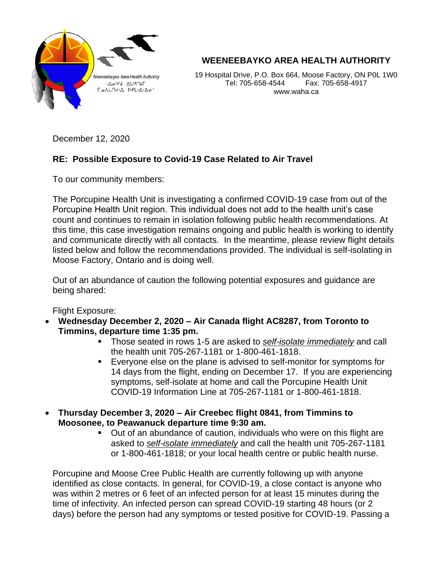

**WEENEEBAYKO AREA HEALTH AUTHORITY**

19 Hospital Drive, P.O. Box 664, Moose Factory, ON P0L 1W0 Tel: 705-658-4544 Fax: 705-658-4917 www.waha.ca

December 12, 2020

## **RE: Possible Exposure to Covid-19 Case Related to Air Travel**

To our community members:

The Porcupine Health Unit is investigating a confirmed COVID-19 case from out of the Porcupine Health Unit region. This individual does not add to the health unit's case count and continues to remain in isolation following public health recommendations. At this time, this case investigation remains ongoing and public health is working to identify and communicate directly with all contacts. In the meantime, please review flight details listed below and follow the recommendations provided. The individual is self-isolating in Moose Factory, Ontario and is doing well.

Out of an abundance of caution the following potential exposures and guidance are being shared:

Flight Exposure:

- **Wednesday December 2, 2020 – Air Canada flight AC8287, from Toronto to Timmins, departure time 1:35 pm.**
	- Those seated in rows 1-5 are asked to *self-isolate immediately* and call the health unit 705-267-1181 or 1-800-461-1818.
	- Everyone else on the plane is advised to self-monitor for symptoms for 14 days from the flight, ending on December 17. If you are experiencing symptoms, self-isolate at home and call the Porcupine Health Unit COVID-19 Information Line at 705-267-1181 or 1-800-461-1818.
- **Thursday December 3, 2020 – Air Creebec flight 0841, from Timmins to Moosonee, to Peawanuck departure time 9:30 am.**
	- Out of an abundance of caution, individuals who were on this flight are asked to *self-isolate immediately* and call the health unit 705-267-1181 or 1-800-461-1818; or your local health centre or public health nurse.

Porcupine and Moose Cree Public Health are currently following up with anyone identified as close contacts. In general, for COVID-19, a close contact is anyone who was within 2 metres or 6 feet of an infected person for at least 15 minutes during the time of infectivity. An infected person can spread COVID-19 starting 48 hours (or 2 days) before the person had any symptoms or tested positive for COVID-19. Passing a